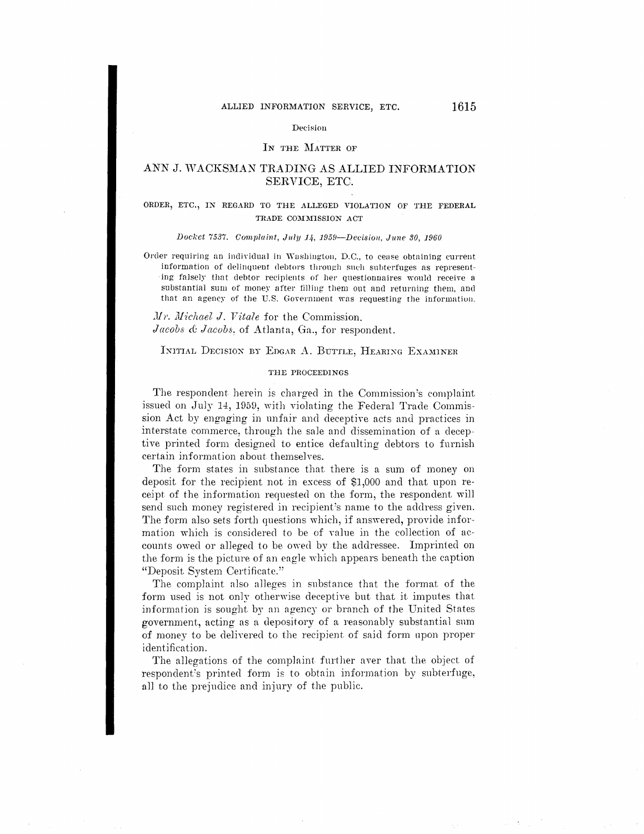#### Decision

#### IN THE MATTER OF

# ANN J. WACKSMAN TRADING AS ALLIED INFORMATION SERVICE, ETC.

## ORDER, ETC., IN REGARD TO THE ALLEGED VIOLATION OF THE FEDERAL TRADE COMMISSION ACT

Docket 7537. Complaint, July 14, 1959-Decision, June 30, 1960

Order requiring an individual in Washington, D.C., to cease obtaining current information of delinquent debtors through such subterfuges as representing falsely that debtor recipients of her questionnaires would receive a substantial sum of money after filling them out and returning them, and that an agency of the U.S. Government was requesting the information.

Mr. Michael J. Vitale for the Commission. Jacobs & Jacobs, of Atlanta, Ga., for respondent.

INITIAL DECISION BY EDGAR A. BUTTLE, HEARING EXAMINER

#### THE PROCEEDINGS

The respondent herein is charged in the Commission's complaint issued on July 14, 1959, with violating the Federal Trade Commission Act by engaging in unfair and deceptive acts and practices in interstate commerce, through the sale and dissemination of a deceptive printed form designed to entice defaulting debtors to furnish certain information about themselves.

The form states in substance that there is a sum of money on deposit for the recipient not in excess of \$1,000 and that upon receipt of the information requested on the form, the respondent will send such money registered in recipient's name to the address given. The form also sets forth questions which, if answered, provide information which is considered to be of value in the collection of accounts owed or alleged to be owed by the addressee. Imprinted on the form is the picture of an eagle which appears beneath the caption "Deposit System Certificate."

The complaint also alleges in substance that the format of the form used is not only otherwise deceptive but that it imputes that information is sought by an agency or branch of the United States government, acting as a depository of a reasonably substantial sum of money to be delivered to the recipient of said form upon proper identification.

The allegations of the complaint further aver that the object of respondent's printed form is to obtain information by subterfuge, all to the prejudice and injury of the public.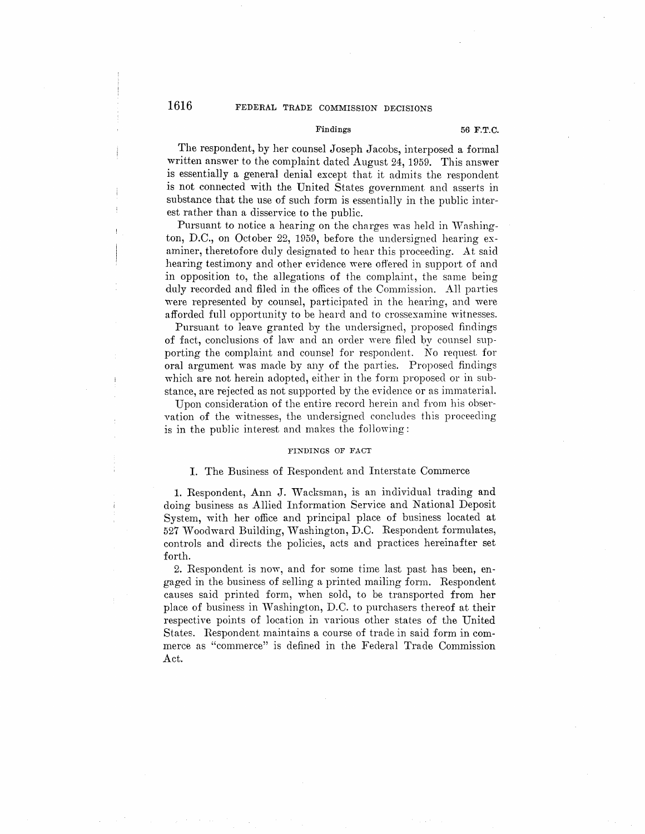# 1616 **FEDERAL TRADE COMMISSION DECISIONS**

#### Findings 56 F.T.C.

The respondent, by her counsel Joseph Jacobs, interposed a formal written answer to the complaint dated August 24, 1959. This answer is essentially a general denial except that it admits the respondent is not connected with the United States government and asserts in substance that the use of such form is essentially in the public interest rather than a disservice to the public.

Pursuant to notice a hearing on the charges was held in Washington, D.C., on October 22, 1959, before the undersigned hearing examiner, theretofore duly designated to hear this proceeding. At said hearing testimony and other evidence were offered in support of and in opposition to, the allegations of the complaint, the same being duly recorded and filed in the offices of the Commission. All parties were represented by counsel, participated in the hearing, and were afforded full opportunity to be heard and to crossexamine witnesses.

Pursuant to leave granted by the undersigned, proposed findings of fact, conclusions of Jaw and an order were filed by counsel supporting the complaint and counsel for respondent. No request for oral argument was made by any of the parties. Proposed findings which are not herein adopted, either in the form proposed or in substance, are rejected as not supported by the evidence or as immaterial.

Upon consideration of the entire record herein and from his observation of the witnesses, the undersigned concludes this proceeding is in the public interest and makes the fo1lowing:

#### **FINDINGS OF FACT**

## I. The Business of Respondent and Interstate Commerce

1. Respondent, Ann J. Wacksman, is an individual trading and doing business as Allied Information Service and National Deposit System, with her office and principal place of business located at 527 Woodward Building, Washington, D.C. Respondent formulates, controls and directs the policies, acts and practices hereinafter set forth.

2. Respondent is now, and for some time last past has been, engaged in the business of selling a printed mailing form. Respondent causes said printed form, when sold, to be transported from her place of business in Washington, D.C. to purchasers thereof at their respective points of location in Yarious other states of the United States. Respondent maintains a course of trade in said form in commerce as "commerce" is defined in the Federal Trade Commission Act.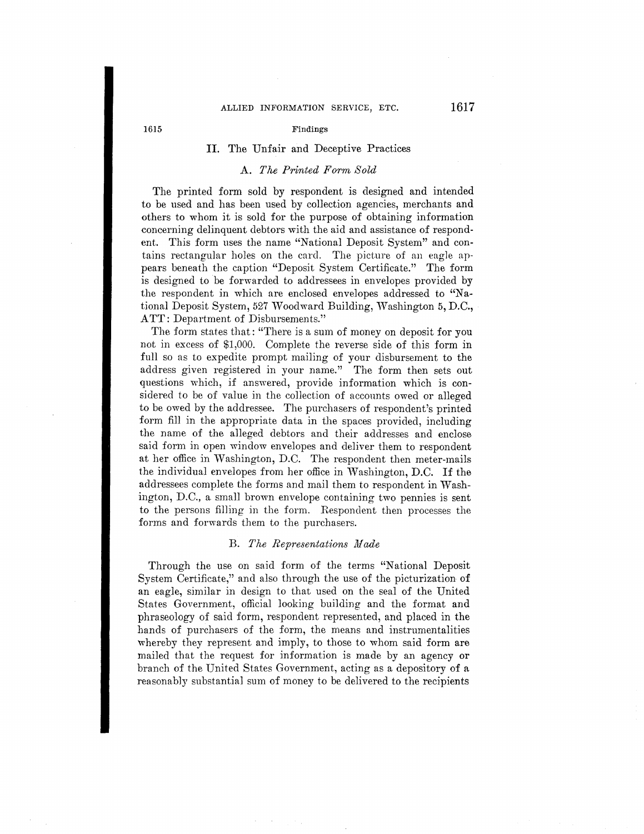# ALLIED INFORMATION SERVICE, ETC. 1617

#### 1615 Findings

## II. The Unfair and Deceptive Practices

## A. *The Printed Form Sold*

The printed form sold by respondent is designed and intended to be used and has been used by collection agencies, merchants and others to whom it is sold for the purpose of obtaining information concerning delinquent debtors with the aid and assistance of respondent. This form uses the name "National Deposit System" and contains rectangular holes on the card. The picture of an eagle appears beneath the caption "Deposit System Certificate." The form is designed to be forwarded to addressees in envelopes provided by the respondent in which are enclosed envelopes addressed to **"Na**tional Deposit System, 527 Woodward Building, Washington 5, D.C., **ATT:** Department of Disbursements."

The form states that: "There is a sum of money on deposit for you not in excess of \$1,000. Complete the reverse side of this form in full so as to expedite prompt mailing of your disbursement to the address given registered in your name." The form then sets out questions which, if answered, provide information which is considered to be of value in the collection of acconnts owed or alleged to be owed by the addressee. The purchasers of respondent's printed form fill in the appropriate data in the spaces provided, including the name of the alleged debtors and their addresses and enclose said form in open window envelopes and deliver them to respondent at her office in Washington, D.C. The respondent then meter-mails the individual envelopes from her office in Washington, D.C. If the addressees complete the forms and mail them to respondent in Washington, D.C., a small brown envelope containing two pennies is sent to the persons filling in the form. Respondent then processes the forms and forwards them to the purchasers.

### B. *The Representations Made*

Through the use on said form of the terms "National Deposit System Certificate," and also through the use of the picturization of an eagle, similar in design to that used on the seal of the United States Government, official looking building and the format and phraseology of said form, respondent represented, and placed in the hands of purchasers of the form, the means and instrumentalities whereby they represent and imply, to those to whom said form are mailed that the request for information is made by an agency or branch of the United States Government, acting as a depository of a reasonably substantial sum of money *to* be delivered to the recipients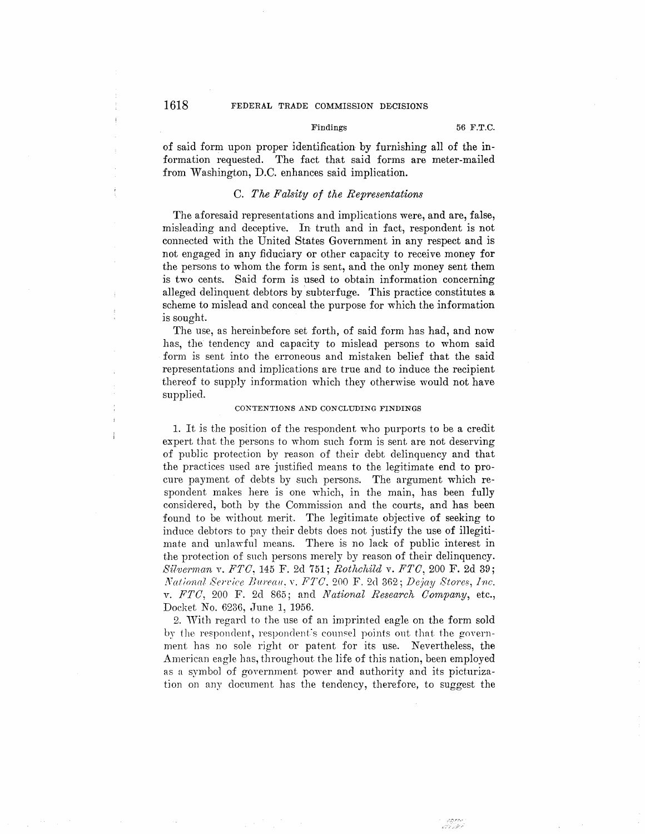# **1618** FEDERAL TRADE COMMISSION DECISIONS

of said form upon proper identification by furnishing all of the **in**formation requested. The fact that said forms are meter-mailed from Washington, D.C. enhances said implication.

## C. *The Fa7,sity of the Representations*

The aforesaid representations and implications were, and are, false, misleading and deceptive. In truth and in fact, respondent is not connected with the United States Government in any respect and is not engaged in any fiduciary or other capacity to receive money for the persons to whom the form is sent, and the only money sent them is two cents. Said form is used to obtain information concerning alleged delinquent debtors by subterfuge. This practice constitutes a scheme to mislead and conceal the purpose for which the information is sought.

The use, as hereinbefore set forth, of said form has had, and now has, the tendency and capacity to mislead persons to whom said form is sent into the erroneous and mistaken belief that the said representations and implications are true and to induce the recipient thereof to supply information which they otherwise would not have supplied.

### **CONTENTIONS .AND CONCLUDING FINDINGS**

1. It is the position of the respondent who purports to be a credit expert that the persons to whom such form is sent are not deserving of public protection by reason of their debt delinquency and that the practices used are justified means to the legitimate end to procure payment of debts by such persons. The argument which respondent makes here is one which, in the main, has been fully considered, both by the Commission and the courts, and has been found to be without merit. The legitimate objective of seeking to induce debtors to pay their debts does not justify the use of illegitimate and unlawful means. There is no lack of public interest in the protection of such persons merely by reason of their delinquency. *Silverman* v. *FTC,* 145 F. 2d 751; *Rothchild* v. *FTC,* 200 F. 2d 39; *National Service Bureau.v. FTC.* 200 F. 2d 362; *Dejay Stores, Inc.* v. *FTC*, 200 F. 2d 865; and *National Research Company*, etc., Docket No. 6236, June 1, 1956.

2. With regard to the use of an imprinted eagle on the form sold by the respondent, respondent's counsel points out that the government has no sole right or patent for its use. Nevertheless, the American eagle has, throughout the life of this nation, been employed as a symbol of government power and authority and its picturization on any document has the tendency, therefore, to suggest the

 $\boldsymbol{i}$ 

 $\overline{1}$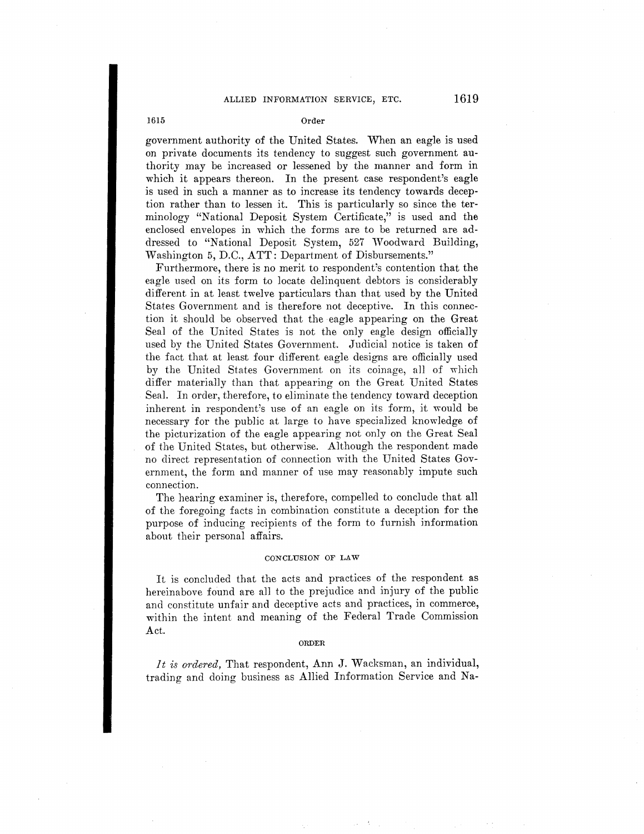## 1615 Order

government authority of the United States. When an eagle is used on private documents its tendency *to* suggest such government authority may be increased or lessened by the manner and form in which it appears thereon. In the present case respondent's eagle is used in such a manner as to increase its tendency towards deception rather than to lessen it. This is particularly so since the terminology "National Deposit System Certificate," is used and the enclosed envelopes in which the forms are to be returned are addressed to "National Deposit System, 527 Woodward Building, Washington 5, D.C., ATT: Department of Disbursements."

Furthermore, there is no merit to respondent's contention that the eagle used on its form to locate delinquent debtors is considerably different in at least twelve particulars than that used by the United States Government and is therefore not deceptive. In this connection it should be observed that the eagle appearing on the Great Seal of the United States is not the only eagle design officially used by the United States Government. Judicial notice is taken of the fact that at least four different eagle designs are officially used by the United States Government on its coinage, all of which differ materially than that appearing on the Great United States Seal. In order, therefore, to eliminate the tendency toward deception inherent in respondent's use of an eagle on its form, it would be necessary for the public at large to have specialized knowledge of the picturization of the eagle appearing not only on the Great Seal of the United States, but otherwise. Although the respondent made no direct representation of connection with the United States Government, the form and manner of use may reasonably impute such connection.

The hearing examiner is, therefore, compelled to conclude that all of the foregoing facts in combination constitute a deception for the purpose of inducing recipients of the form to furnish information about their personal affairs.

## CONCLUSION OF LAW

It is concluded that the acts and practices of the respondent as hereinabove found are all to the prejudice and injury of the public and constitute unfair and deceptive acts and practices, in commerce, within the intent and meaning of the Federal Trade Commission Act.

#### ORDER

*It is ordered,* That respondent, Ann J. Wacksman, an individual, trading and doing business as Allied Information Service and Na-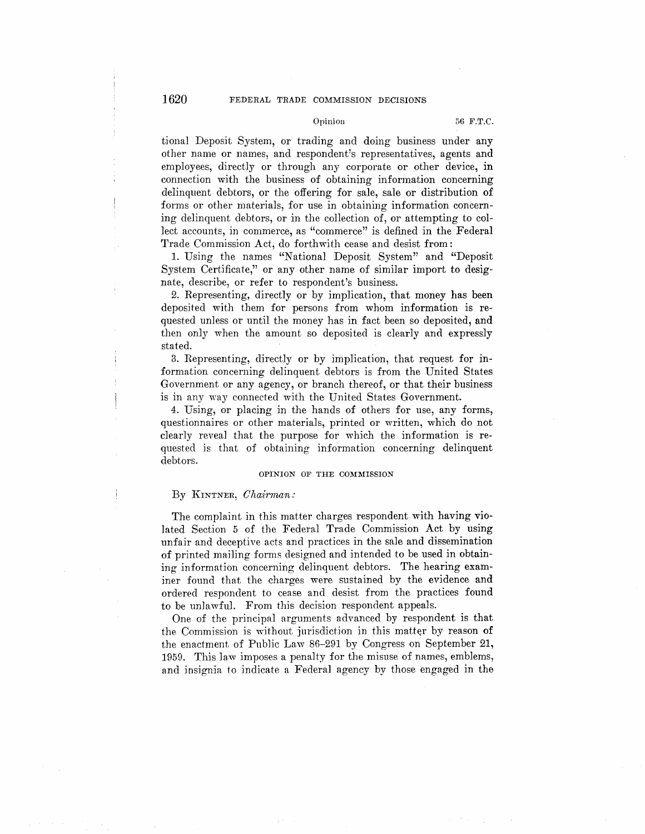# 1620 FEDERAL TRADE COMMISSION DECISIONS

tional Deposit System, or trading and doing business under any other name or names, and respondent's representatives, agents and employees, directly or through any corporate or other device, in connection with the business of obtaining information concerning delinquent debtors, or the offering for sale, sale or distribution of forms or other materials, for use in obtaining information concerning delinquent debtors, or in the collection of, or attempting to collect accounts, in commerce, as "commerce" is defined in the Federal Trade Commission Act, do forthwith cease and desist from:

1. Using the names "National Deposit System" and "Deposit System Certificate," or any other name of similar import to designate, describe, or refer to respondent's business.

2. Representing, directly or by implication, that money has been deposited with them for persons from whom information is requested unless or until the money has in fact been so deposited, and then only when the amount so deposited is clearly and expressly stated.

3. Representing, directly or by implication, that request for information concerning delinquent debtors is from the United States Government or any agency, or branch thereof, or that their business is in any way connected with the United States Government.

4. Using, or placing in the hands of others for use, any forms, questionnaires or other materials, printed or written, which do not clearly reveal that the purpose for which the information is requested is that of obtaining information concerning delinquent debtors.

#### **OPINION** OF THE **COMMISSION**

## By KINTNER, *Chairman:*

The complaint in this matter charges respondent with having violated Section 5 of the Federal Trade Commission Act by using unfair and deceptive acts and practices in the sale and dissemination of printed ma.iling forms designed and intended *to* be used in obtaining information concerning delinquent debtors. The hearing examiner found that the charges were sustained by the evidence and ordered respondent to cease and desist from the practices found to be unlawful. From this decision respondent appeals.

One of the principal arguments advanced by respondent is that the Commission is without jurisdiction in this matter by reason of the enactment of Public Law 86-291 by Congress on September 21, 1959. This law imposes a penalty for the misuse of names, emblems, and insignia. to indicate a Federal agency by those engaged in the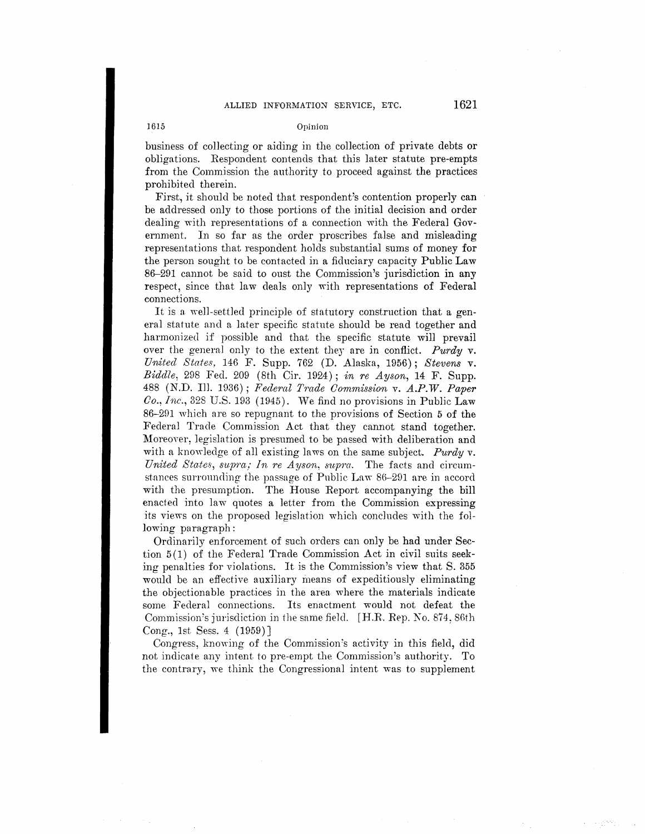#### 1615 Opinion

business of colJecting or aiding in the collection of private debts **or**  obligations. Respondent contends that this later statute pre-empts from the Commission the authority to proceed against the practices prohibited therein.

First, it should be noted that respondent's contention properly can be addressed only to those portions of the initial decision and order dealing with representations of a connection with the Federal Government. In so far as the order proscribes false and misleading representations that respondent holds substantial sums of money for the person sought to be contacted in a fiduciary capacity Public **Law**  86-291 cannot be said to oust the Commission's jurisdiction in **any**  respect, since that law deals only with representations of Federal connections.

It is a well-settled principle of statutory construction that a general statute and a later specific statute should be read together and harmonized if possible and that the specific statute will prevail over the genernl only to the extent they are in conflict. *Purdy* v. *United States,* 14G F. Supp. 762 (D. Alaska, 1956); *Stevens* v. *Biddle,* 298 Fed. 209 (8th Cir. 1924); *in re Ayson,* 14 F. Supp. 488 (N.D. Ill. 1036); *Federnl Tmde Commission* v. *A.P.W. Paper*   $Co., Inc., 328 \text{ U.S. } 193 \text{ (}1945).$  We find no provisions in Public Law 86-291 which are so repugnant to the provisions of Section 5 of the Federal Trade Commission Act that they cannot stand together. Moreover, legislation is presumed to be passed with deliberation **and**  with a knowledge of all existing laws on the same subject. *Purdy* v. *United States, supra; In re Ayson, supra.* The facts and circumstances surrounding the passage of Public Law  $86-291$  are in accord with the presumption. The House Report accompanying the bill enacted into law quotes a letter from the Commission expressing its views on the proposed legislation which concludes with the following paragraph:

Ordinarily enforcement of such orders can only be had under Section  $5(1)$  of the Federal Trade Commission Act in civil suits seeking penalties for violations. It is the Commission's view that S. 355 would be an effective auxiliary means of expeditiously eliminating the objectionable practices in the area where the materials indicate some Federal connections. Its enactment would not defeat the Commission's jurisdiction in the same field. [H.R. Rep. *No.* 874, 86th Cong., 1st Sess. 4 (1959)]

Congress, knowing of the Commission's activity in this field, did not indicate any intent to pre-empt the Commission's authority. To the contrary, we think the Congressional intent was to supplement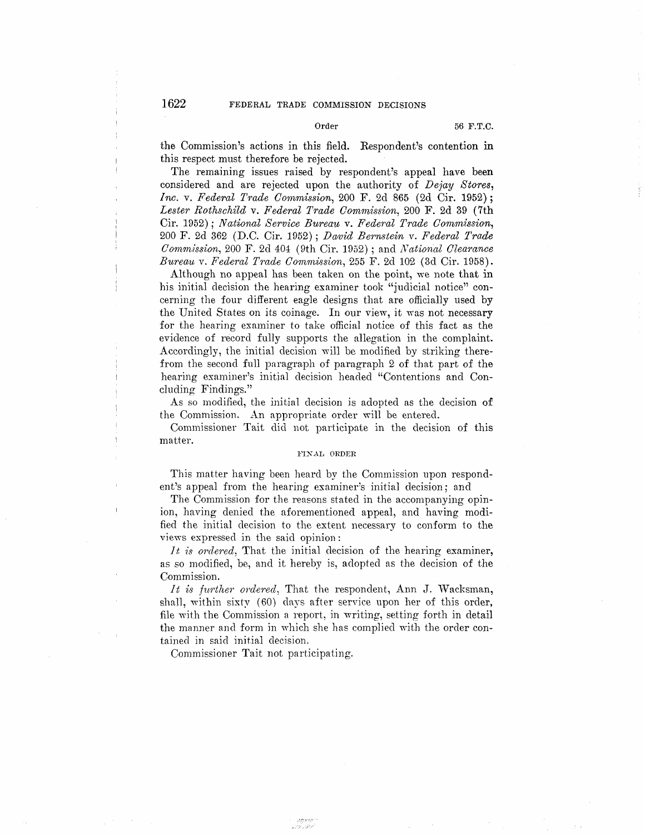the Commission's actions in this field. Respondent's contention in this respect must therefore be rejected.

The remaining issues raised by respondent's appeal have been considered and are rejected upon the authority of *Dejay Stores, Inc.* v. *Federal Trade Commission*, 200 F. 2d 865 (2d Cir. 1952); *Lester Rothschild* v. *Federal Trade Commission,* 200 F. 2d 39 (7th Cir. 1952); *National Service Bureau v. Federal Trade Commission*, 200 F. 2d 362 (D.C. Cir. 1952) ; *Dcvvid Bernstein* v. *Federal Trade Commission, 200 F. 2d 404 (9th Cir. 1952); and National Clearance Bureau* v. *Federal Trade C01n11iission,* 255 F. 2d 102 (3d Cir. 1958).

Although no appeal has been taken on the point, we note that in his initial decision the hearing examiner took "judicial notice" concerning the four different eagle designs that are officially used by the United States on its coinage. In our view, it was not necessary for the hearing examiner to take official notice of this fact as the evidence of record fully supports the allegation in the complaint. Accordingly, the initial decision will be modified by striking therefrom the second full paragraph of paragraph 2 of that part of the hearing examiner's initial decision headed "Contentions and Concluding Findings."

As so modified, the initial decision is adopted as the decision of the Commission. An appropriate order will be entered.

Commissioner Tait did not participate in the decision of this matter.

## **FIXAL ORDER**

This matter having been heard by the Commission upon respondent's appeal from the hearing examiner's initial decision; and

The Commission for the reasons stated in the accompanying opinion, having denied the aforementioned appeal, and having modified the initial decision to the extent necessary to conform to the views expressed in the said opinion :

*It is ordered.* That the initial decision of the hearing examiner, as so modified, be, and it hereby is, adopted as the decision of the Commission.

*It is further ordered*, That the respondent, Ann J. Wacksman, shall, within sixty (60) days after service upon her of this order, file with the Commission a report, in writing, setting forth in detail the manner and form in which she has complied with the order contained in said initial decision.

Commissioner Tait not participating.